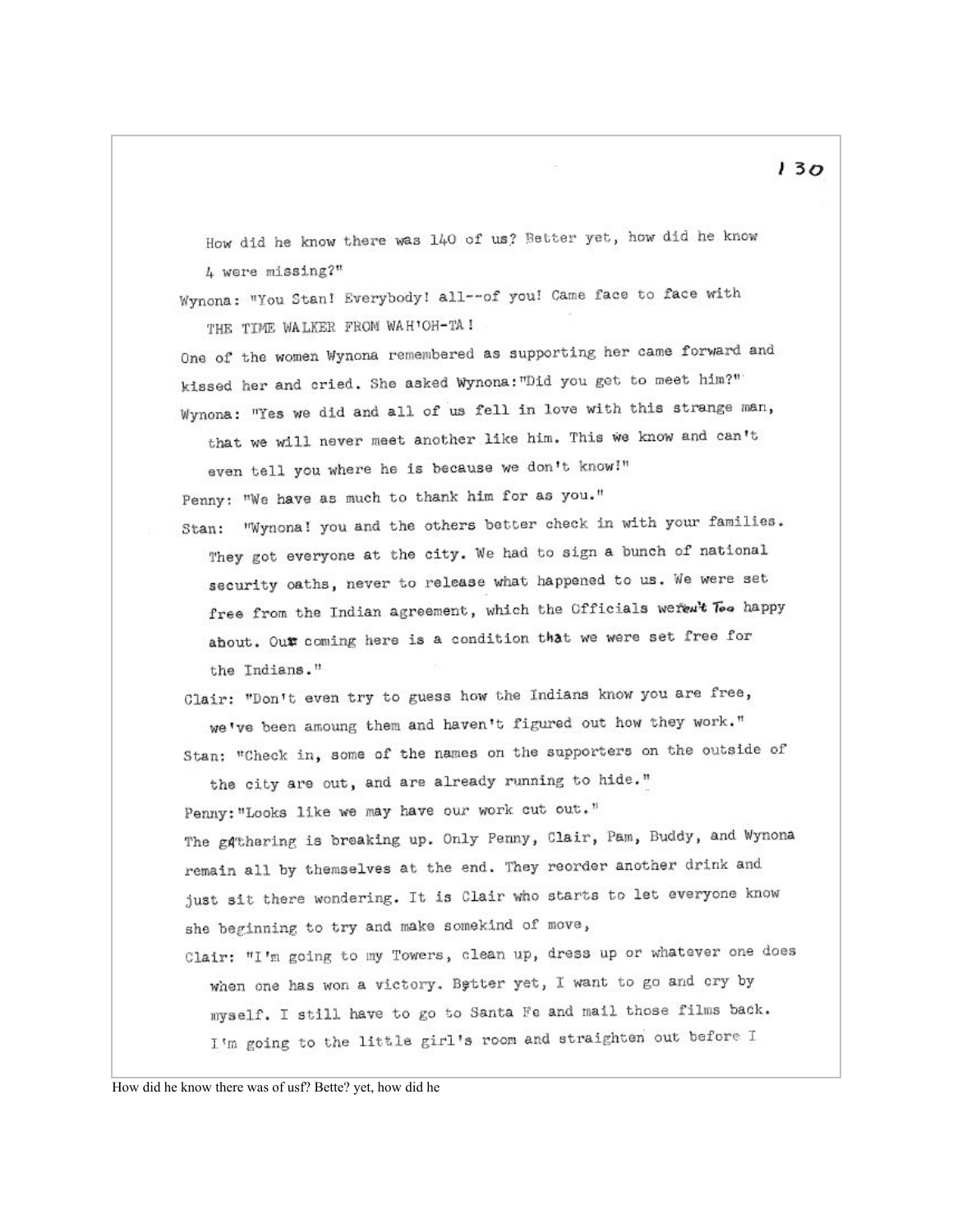How did he know there was 140 of us? Better yet, how did he know 4 were missing?"

Wynona: "You Stan! Everybody! all -- of you! Came face to face with THE TIME WALKER FROM WAH'OH-TA!

One of the women Wynona remembered as supporting her came forward and kissed her and cried. She asked Wynona: "Did you get to meet him?" Wynona: "Yes we did and all of us fell in love with this strange man, that we will never meet another like him. This we know and can't

even tell you where he is because we don't know!" Penny: "We have as much to thank him for as you."

Stan: "Wynona! you and the others better check in with your families. They got everyone at the city. We had to sign a bunch of national security oaths, never to release what happened to us. We were set free from the Indian agreement, which the Officials weren't Too happy ahout. Our coming here is a condition that we were set free for the Indians."

Clair: "Don't even try to guess how the Indians know you are free, we've been amoung them and haven't figured out how they work." Stan: "Check in, some of the names on the supporters on the outside of

the city are out, and are already running to hide." Penny: "Looks like we may have our work cut out." The gathering is breaking up. Only Penny, Clair, Pam, Buddy, and Wynona remain all by themselves at the end. They reorder another drink and just sit there wondering. It is Clair who starts to let everyone know she beginning to try and make somekind of move,

Clair: "I'm going to my Towers, clean up, dress up or whatever one does when one has won a victory. Better yet, I want to go and cry by myself. I still have to go to Santa Fe and mail those films back. I'm going to the little girl's room and straighten out before I

How did he know there was of usf? Bette? yet, how did he